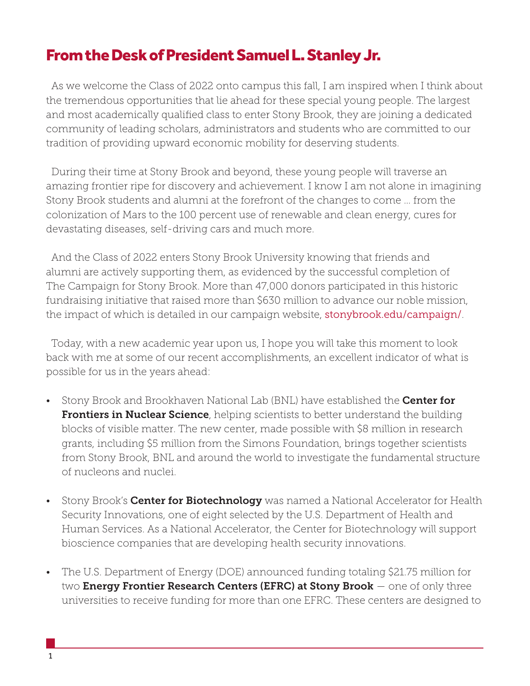## From the Desk of President Samuel L. Stanley Jr.

 As we welcome the Class of 2022 onto campus this fall, I am inspired when I think about the tremendous opportunities that lie ahead for these special young people. The largest and most academically qualified class to enter Stony Brook, they are joining a dedicated community of leading scholars, administrators and students who are committed to our tradition of providing upward economic mobility for deserving students.

 During their time at Stony Brook and beyond, these young people will traverse an amazing frontier ripe for discovery and achievement. I know I am not alone in imagining Stony Brook students and alumni at the forefront of the changes to come … from the colonization of Mars to the 100 percent use of renewable and clean energy, cures for devastating diseases, self-driving cars and much more.

 And the Class of 2022 enters Stony Brook University knowing that friends and alumni are actively supporting them, as evidenced by the successful completion of The Campaign for Stony Brook. More than 47,000 donors participated in this historic fundraising initiative that raised more than \$630 million to advance our noble mission, the impact of which is detailed in our campaign website, stonybrook.edu/campaign/.

 Today, with a new academic year upon us, I hope you will take this moment to look back with me at some of our recent accomplishments, an excellent indicator of what is possible for us in the years ahead:

- Stony Brook and Brookhaven National Lab (BNL) have established the Center for **Frontiers in Nuclear Science**, helping scientists to better understand the building blocks of visible matter. The new center, made possible with \$8 million in research grants, including \$5 million from the Simons Foundation, brings together scientists from Stony Brook, BNL and around the world to investigate the fundamental structure of nucleons and nuclei.
- Stony Brook's **Center for Biotechnology** was named a National Accelerator for Health Security Innovations, one of eight selected by the U.S. Department of Health and Human Services. As a National Accelerator, the Center for Biotechnology will support bioscience companies that are developing health security innovations.
- The U.S. Department of Energy (DOE) announced funding totaling \$21.75 million for two **Energy Frontier Research Centers (EFRC) at Stony Brook**  $-$  one of only three universities to receive funding for more than one EFRC. These centers are designed to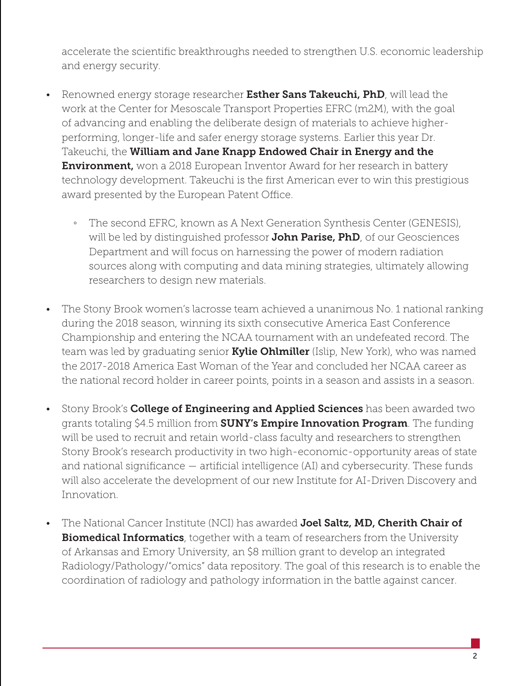accelerate the scientific breakthroughs needed to strengthen U.S. economic leadership and energy security.

- Renowned energy storage researcher Esther Sans Takeuchi, PhD, will lead the work at the Center for Mesoscale Transport Properties EFRC (m2M), with the goal of advancing and enabling the deliberate design of materials to achieve higherperforming, longer-life and safer energy storage systems. Earlier this year Dr. Takeuchi, the William and Jane Knapp Endowed Chair in Energy and the **Environment,** won a 2018 European Inventor Award for her research in battery technology development. Takeuchi is the first American ever to win this prestigious award presented by the European Patent Office.
	- The second EFRC, known as A Next Generation Synthesis Center (GENESIS), will be led by distinguished professor **John Parise, PhD**, of our Geosciences Department and will focus on harnessing the power of modern radiation sources along with computing and data mining strategies, ultimately allowing researchers to design new materials.
- The Stony Brook women's lacrosse team achieved a unanimous No. 1 national ranking during the 2018 season, winning its sixth consecutive America East Conference Championship and entering the NCAA tournament with an undefeated record. The team was led by graduating senior **Kylie Ohlmiller** (Islip, New York), who was named the 2017-2018 America East Woman of the Year and concluded her NCAA career as the national record holder in career points, points in a season and assists in a season.
- Stony Brook's **College of Engineering and Applied Sciences** has been awarded two grants totaling \$4.5 million from **SUNY's Empire Innovation Program**. The funding will be used to recruit and retain world-class faculty and researchers to strengthen Stony Brook's research productivity in two high-economic-opportunity areas of state and national significance — artificial intelligence (AI) and cybersecurity. These funds will also accelerate the development of our new Institute for AI-Driven Discovery and Innovation.
- The National Cancer Institute (NCI) has awarded **Joel Saltz, MD, Cherith Chair of Biomedical Informatics**, together with a team of researchers from the University of Arkansas and Emory University, an \$8 million grant to develop an integrated Radiology/Pathology/"omics" data repository. The goal of this research is to enable the coordination of radiology and pathology information in the battle against cancer.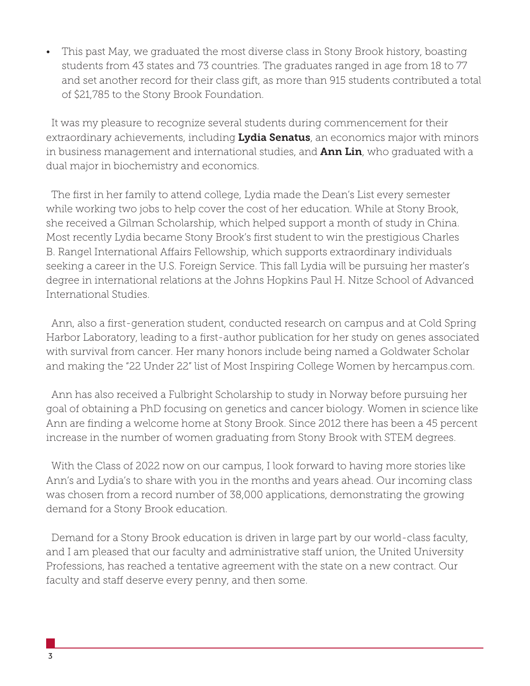• This past May, we graduated the most diverse class in Stony Brook history, boasting students from 43 states and 73 countries. The graduates ranged in age from 18 to 77 and set another record for their class gift, as more than 915 students contributed a total of \$21,785 to the Stony Brook Foundation.

 It was my pleasure to recognize several students during commencement for their extraordinary achievements, including Lydia Senatus, an economics major with minors in business management and international studies, and **Ann Lin**, who graduated with a dual major in biochemistry and economics.

 The first in her family to attend college, Lydia made the Dean's List every semester while working two jobs to help cover the cost of her education. While at Stony Brook, she received a Gilman Scholarship, which helped support a month of study in China. Most recently Lydia became Stony Brook's first student to win the prestigious Charles B. Rangel International Affairs Fellowship, which supports extraordinary individuals seeking a career in the U.S. Foreign Service. This fall Lydia will be pursuing her master's degree in international relations at the Johns Hopkins Paul H. Nitze School of Advanced International Studies.

 Ann, also a first-generation student, conducted research on campus and at Cold Spring Harbor Laboratory, leading to a first-author publication for her study on genes associated with survival from cancer. Her many honors include being named a Goldwater Scholar and making the "22 Under 22" list of Most Inspiring College Women by hercampus.com.

 Ann has also received a Fulbright Scholarship to study in Norway before pursuing her goal of obtaining a PhD focusing on genetics and cancer biology. Women in science like Ann are finding a welcome home at Stony Brook. Since 2012 there has been a 45 percent increase in the number of women graduating from Stony Brook with STEM degrees.

 With the Class of 2022 now on our campus, I look forward to having more stories like Ann's and Lydia's to share with you in the months and years ahead. Our incoming class was chosen from a record number of 38,000 applications, demonstrating the growing demand for a Stony Brook education.

 Demand for a Stony Brook education is driven in large part by our world-class faculty, and I am pleased that our faculty and administrative staff union, the United University Professions, has reached a tentative agreement with the state on a new contract. Our faculty and staff deserve every penny, and then some.